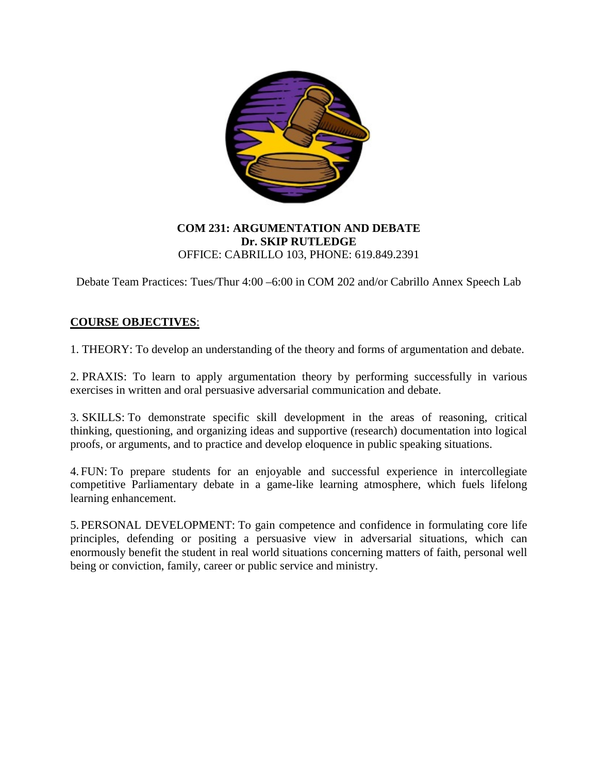

## **COM 231: ARGUMENTATION AND DEBATE Dr. SKIP RUTLEDGE** OFFICE: CABRILLO 103, PHONE: 619.849.2391

Debate Team Practices: Tues/Thur 4:00 –6:00 in COM 202 and/or Cabrillo Annex Speech Lab

## **COURSE OBJECTIVES**:

1. THEORY: To develop an understanding of the theory and forms of argumentation and debate.

2. PRAXIS: To learn to apply argumentation theory by performing successfully in various exercises in written and oral persuasive adversarial communication and debate.

3. SKILLS: To demonstrate specific skill development in the areas of reasoning, critical thinking, questioning, and organizing ideas and supportive (research) documentation into logical proofs, or arguments, and to practice and develop eloquence in public speaking situations.

4. FUN: To prepare students for an enjoyable and successful experience in intercollegiate competitive Parliamentary debate in a game-like learning atmosphere, which fuels lifelong learning enhancement.

5. PERSONAL DEVELOPMENT: To gain competence and confidence in formulating core life principles, defending or positing a persuasive view in adversarial situations, which can enormously benefit the student in real world situations concerning matters of faith, personal well being or conviction, family, career or public service and ministry.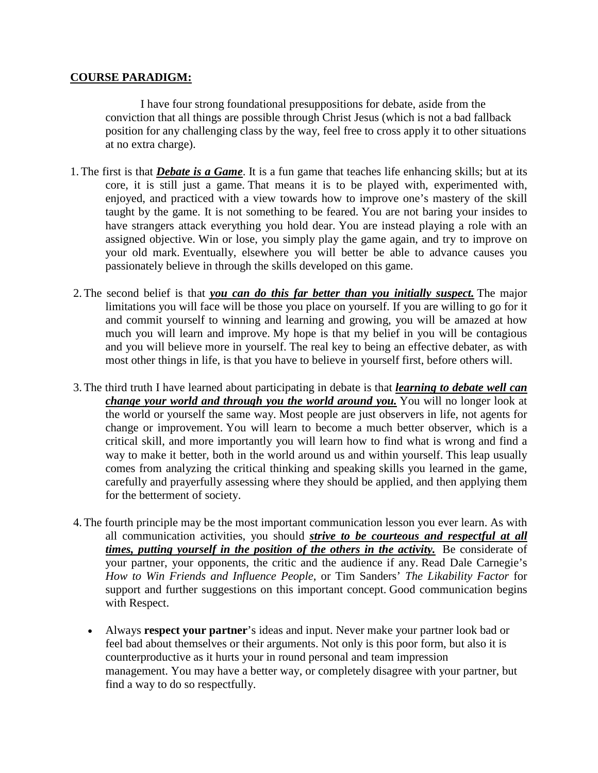### **COURSE PARADIGM:**

I have four strong foundational presuppositions for debate, aside from the conviction that all things are possible through Christ Jesus (which is not a bad fallback position for any challenging class by the way, feel free to cross apply it to other situations at no extra charge).

- 1.The first is that *Debate is a Game*. It is a fun game that teaches life enhancing skills; but at its core, it is still just a game. That means it is to be played with, experimented with, enjoyed, and practiced with a view towards how to improve one's mastery of the skill taught by the game. It is not something to be feared. You are not baring your insides to have strangers attack everything you hold dear. You are instead playing a role with an assigned objective. Win or lose, you simply play the game again, and try to improve on your old mark. Eventually, elsewhere you will better be able to advance causes you passionately believe in through the skills developed on this game.
- 2.The second belief is that *you can do this far better than you initially suspect.* The major limitations you will face will be those you place on yourself. If you are willing to go for it and commit yourself to winning and learning and growing, you will be amazed at how much you will learn and improve. My hope is that my belief in you will be contagious and you will believe more in yourself. The real key to being an effective debater, as with most other things in life, is that you have to believe in yourself first, before others will.
- 3.The third truth I have learned about participating in debate is that *learning to debate well can change your world and through you the world around you.* You will no longer look at the world or yourself the same way. Most people are just observers in life, not agents for change or improvement. You will learn to become a much better observer, which is a critical skill, and more importantly you will learn how to find what is wrong and find a way to make it better, both in the world around us and within yourself. This leap usually comes from analyzing the critical thinking and speaking skills you learned in the game, carefully and prayerfully assessing where they should be applied, and then applying them for the betterment of society.
- 4.The fourth principle may be the most important communication lesson you ever learn. As with all communication activities, you should *strive to be courteous and respectful at all times, putting yourself in the position of the others in the activity.* Be considerate of your partner, your opponents, the critic and the audience if any. Read Dale Carnegie's *How to Win Friends and Influence People*, or Tim Sanders' *The Likability Factor* for support and further suggestions on this important concept. Good communication begins with Respect.
	- Always **respect your partner**'s ideas and input. Never make your partner look bad or feel bad about themselves or their arguments. Not only is this poor form, but also it is counterproductive as it hurts your in round personal and team impression management. You may have a better way, or completely disagree with your partner, but find a way to do so respectfully.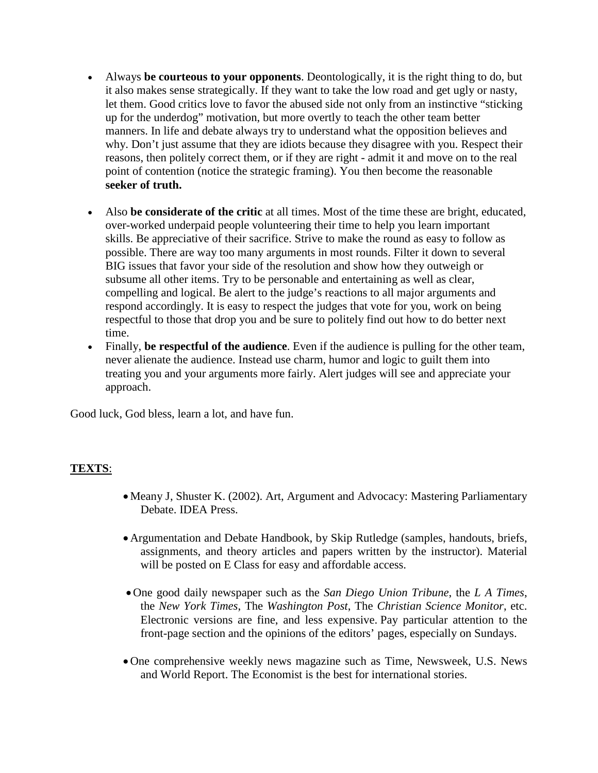- Always **be courteous to your opponents**. Deontologically, it is the right thing to do, but it also makes sense strategically. If they want to take the low road and get ugly or nasty, let them. Good critics love to favor the abused side not only from an instinctive "sticking up for the underdog" motivation, but more overtly to teach the other team better manners. In life and debate always try to understand what the opposition believes and why. Don't just assume that they are idiots because they disagree with you. Respect their reasons, then politely correct them, or if they are right - admit it and move on to the real point of contention (notice the strategic framing). You then become the reasonable **seeker of truth.**
- Also **be considerate of the critic** at all times. Most of the time these are bright, educated, over-worked underpaid people volunteering their time to help you learn important skills. Be appreciative of their sacrifice. Strive to make the round as easy to follow as possible. There are way too many arguments in most rounds. Filter it down to several BIG issues that favor your side of the resolution and show how they outweigh or subsume all other items. Try to be personable and entertaining as well as clear, compelling and logical. Be alert to the judge's reactions to all major arguments and respond accordingly. It is easy to respect the judges that vote for you, work on being respectful to those that drop you and be sure to politely find out how to do better next time.
- Finally, **be respectful of the audience**. Even if the audience is pulling for the other team, never alienate the audience. Instead use charm, humor and logic to guilt them into treating you and your arguments more fairly. Alert judges will see and appreciate your approach.

Good luck, God bless, learn a lot, and have fun.

#### **TEXTS**:

- Meany J, Shuster K. (2002). Art, Argument and Advocacy: Mastering Parliamentary Debate. IDEA Press.
- Argumentation and Debate Handbook, by Skip Rutledge (samples, handouts, briefs, assignments, and theory articles and papers written by the instructor). Material will be posted on E Class for easy and affordable access.
- One good daily newspaper such as the *San Diego Union Tribune*, the *L A Times*, the *New York Times*, The *Washington Post*, The *Christian Science Monitor*, etc. Electronic versions are fine, and less expensive. Pay particular attention to the front-page section and the opinions of the editors' pages, especially on Sundays.
- One comprehensive weekly news magazine such as Time, Newsweek, U.S. News and World Report. The Economist is the best for international stories.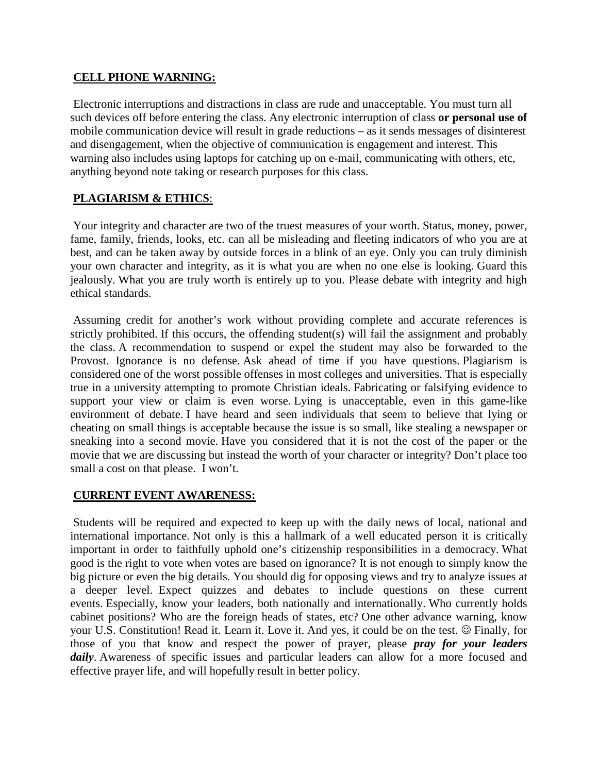### **CELL PHONE WARNING:**

Electronic interruptions and distractions in class are rude and unacceptable. You must turn all such devices off before entering the class. Any electronic interruption of class **or personal use of** mobile communication device will result in grade reductions – as it sends messages of disinterest and disengagement, when the objective of communication is engagement and interest. This warning also includes using laptops for catching up on e-mail, communicating with others, etc, anything beyond note taking or research purposes for this class.

# **PLAGIARISM & ETHICS**:

Your integrity and character are two of the truest measures of your worth. Status, money, power, fame, family, friends, looks, etc. can all be misleading and fleeting indicators of who you are at best, and can be taken away by outside forces in a blink of an eye. Only you can truly diminish your own character and integrity, as it is what you are when no one else is looking. Guard this jealously. What you are truly worth is entirely up to you. Please debate with integrity and high ethical standards.

Assuming credit for another's work without providing complete and accurate references is strictly prohibited. If this occurs, the offending student(s) will fail the assignment and probably the class. A recommendation to suspend or expel the student may also be forwarded to the Provost. Ignorance is no defense. Ask ahead of time if you have questions. Plagiarism is considered one of the worst possible offenses in most colleges and universities. That is especially true in a university attempting to promote Christian ideals. Fabricating or falsifying evidence to support your view or claim is even worse. Lying is unacceptable, even in this game-like environment of debate. I have heard and seen individuals that seem to believe that lying or cheating on small things is acceptable because the issue is so small, like stealing a newspaper or sneaking into a second movie. Have you considered that it is not the cost of the paper or the movie that we are discussing but instead the worth of your character or integrity? Don't place too small a cost on that please. I won't.

## **CURRENT EVENT AWARENESS:**

Students will be required and expected to keep up with the daily news of local, national and international importance. Not only is this a hallmark of a well educated person it is critically important in order to faithfully uphold one's citizenship responsibilities in a democracy. What good is the right to vote when votes are based on ignorance? It is not enough to simply know the big picture or even the big details. You should dig for opposing views and try to analyze issues at a deeper level. Expect quizzes and debates to include questions on these current events. Especially, know your leaders, both nationally and internationally. Who currently holds cabinet positions? Who are the foreign heads of states, etc? One other advance warning, know your U.S. Constitution! Read it. Learn it. Love it. And yes, it could be on the test.  $\circledcirc$  Finally, for those of you that know and respect the power of prayer, please *pray for your leaders*  daily. Awareness of specific issues and particular leaders can allow for a more focused and effective prayer life, and will hopefully result in better policy.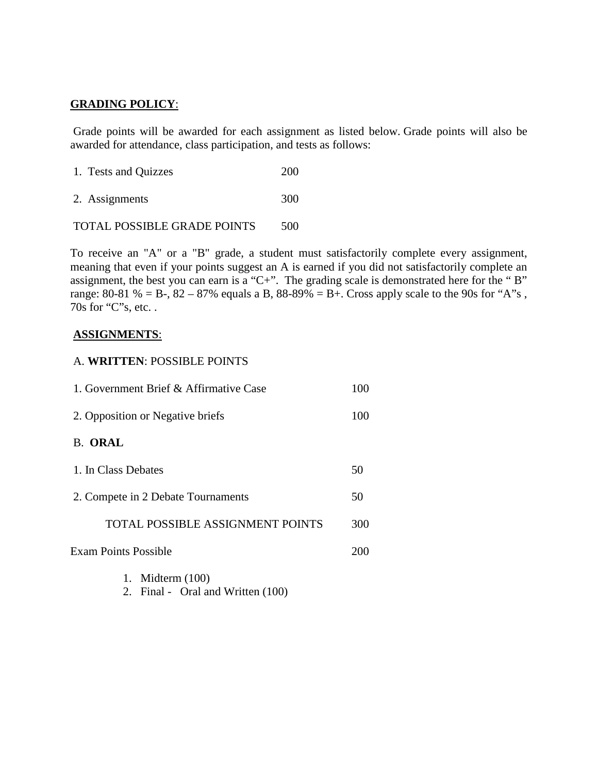## **GRADING POLICY**:

Grade points will be awarded for each assignment as listed below. Grade points will also be awarded for attendance, class participation, and tests as follows:

- 1. Tests and Quizzes 200
- 2. Assignments 300

TOTAL POSSIBLE GRADE POINTS 500

To receive an "A" or a "B" grade, a student must satisfactorily complete every assignment, meaning that even if your points suggest an A is earned if you did not satisfactorily complete an assignment, the best you can earn is a "C+". The grading scale is demonstrated here for the "B" range: 80-81 % = B-, 82 – 87% equals a B, 88-89% = B+. Cross apply scale to the 90s for "A"s, 70s for "C"s, etc. .

#### **ASSIGNMENTS**:

#### A. **WRITTEN**: POSSIBLE POINTS

| 1. Government Brief & Affirmative Case  | 100 |
|-----------------------------------------|-----|
| 2. Opposition or Negative briefs        | 100 |
| <b>B. ORAL</b>                          |     |
| 1. In Class Debates                     | 50  |
| 2. Compete in 2 Debate Tournaments      | 50  |
| <b>TOTAL POSSIBLE ASSIGNMENT POINTS</b> | 300 |
| Exam Points Possible                    | 200 |
| 1. Midterm $(100)$                      |     |

2. Final - Oral and Written (100)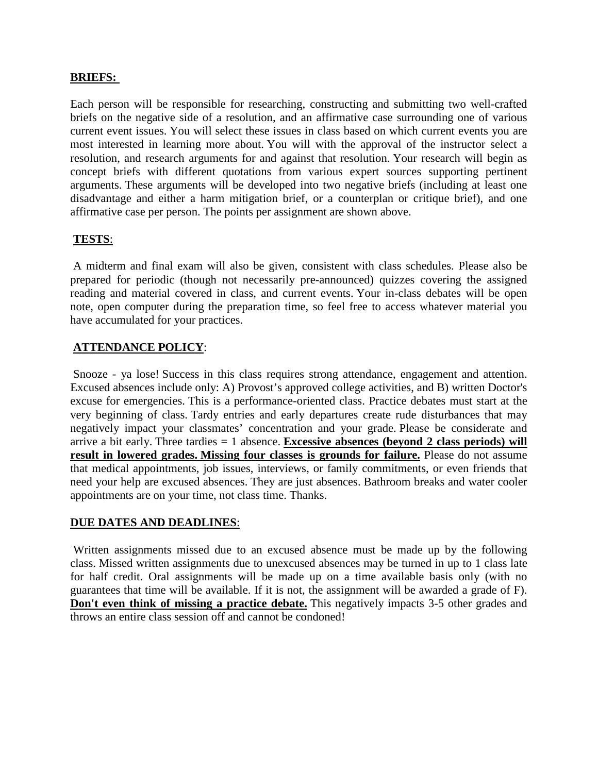#### **BRIEFS:**

Each person will be responsible for researching, constructing and submitting two well-crafted briefs on the negative side of a resolution, and an affirmative case surrounding one of various current event issues. You will select these issues in class based on which current events you are most interested in learning more about. You will with the approval of the instructor select a resolution, and research arguments for and against that resolution. Your research will begin as concept briefs with different quotations from various expert sources supporting pertinent arguments. These arguments will be developed into two negative briefs (including at least one disadvantage and either a harm mitigation brief, or a counterplan or critique brief), and one affirmative case per person. The points per assignment are shown above.

#### **TESTS**:

A midterm and final exam will also be given, consistent with class schedules. Please also be prepared for periodic (though not necessarily pre-announced) quizzes covering the assigned reading and material covered in class, and current events. Your in-class debates will be open note, open computer during the preparation time, so feel free to access whatever material you have accumulated for your practices.

#### **ATTENDANCE POLICY**:

Snooze - ya lose! Success in this class requires strong attendance, engagement and attention. Excused absences include only: A) Provost's approved college activities, and B) written Doctor's excuse for emergencies. This is a performance-oriented class. Practice debates must start at the very beginning of class. Tardy entries and early departures create rude disturbances that may negatively impact your classmates' concentration and your grade. Please be considerate and arrive a bit early. Three tardies = 1 absence. **Excessive absences (beyond 2 class periods) will result in lowered grades. Missing four classes is grounds for failure.** Please do not assume that medical appointments, job issues, interviews, or family commitments, or even friends that need your help are excused absences. They are just absences. Bathroom breaks and water cooler appointments are on your time, not class time. Thanks.

#### **DUE DATES AND DEADLINES**:

Written assignments missed due to an excused absence must be made up by the following class. Missed written assignments due to unexcused absences may be turned in up to 1 class late for half credit. Oral assignments will be made up on a time available basis only (with no guarantees that time will be available. If it is not, the assignment will be awarded a grade of F). **Don't even think of missing a practice debate.** This negatively impacts 3-5 other grades and throws an entire class session off and cannot be condoned!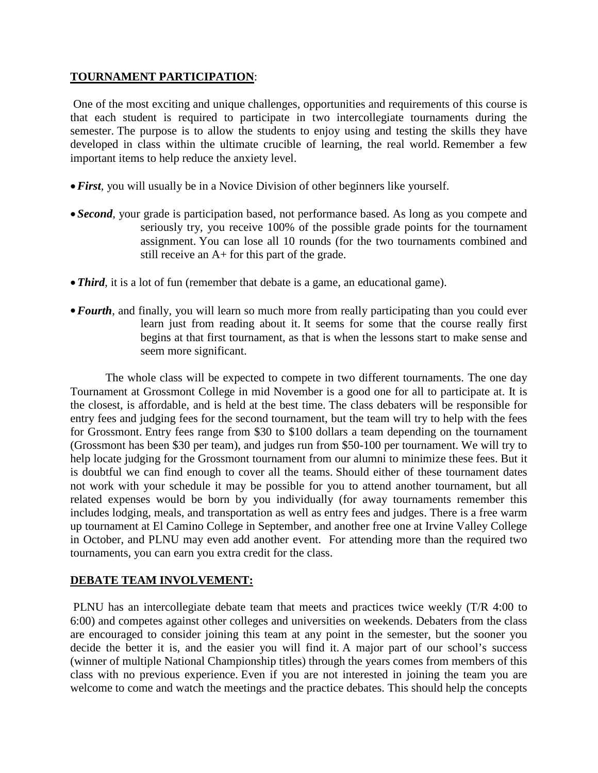## **TOURNAMENT PARTICIPATION**:

One of the most exciting and unique challenges, opportunities and requirements of this course is that each student is required to participate in two intercollegiate tournaments during the semester. The purpose is to allow the students to enjoy using and testing the skills they have developed in class within the ultimate crucible of learning, the real world. Remember a few important items to help reduce the anxiety level.

- •*First,* you will usually be in a Novice Division of other beginners like yourself.
- *Second*, your grade is participation based, not performance based. As long as you compete and seriously try, you receive 100% of the possible grade points for the tournament assignment. You can lose all 10 rounds (for the two tournaments combined and still receive an A+ for this part of the grade.
- *Third*, it is a lot of fun (remember that debate is a game, an educational game).
- **Fourth**, and finally, you will learn so much more from really participating than you could ever learn just from reading about it. It seems for some that the course really first begins at that first tournament, as that is when the lessons start to make sense and seem more significant.

The whole class will be expected to compete in two different tournaments. The one day Tournament at Grossmont College in mid November is a good one for all to participate at. It is the closest, is affordable, and is held at the best time. The class debaters will be responsible for entry fees and judging fees for the second tournament, but the team will try to help with the fees for Grossmont. Entry fees range from \$30 to \$100 dollars a team depending on the tournament (Grossmont has been \$30 per team), and judges run from \$50-100 per tournament. We will try to help locate judging for the Grossmont tournament from our alumni to minimize these fees. But it is doubtful we can find enough to cover all the teams. Should either of these tournament dates not work with your schedule it may be possible for you to attend another tournament, but all related expenses would be born by you individually (for away tournaments remember this includes lodging, meals, and transportation as well as entry fees and judges. There is a free warm up tournament at El Camino College in September, and another free one at Irvine Valley College in October, and PLNU may even add another event. For attending more than the required two tournaments, you can earn you extra credit for the class.

## **DEBATE TEAM INVOLVEMENT:**

PLNU has an intercollegiate debate team that meets and practices twice weekly (T/R 4:00 to 6:00) and competes against other colleges and universities on weekends. Debaters from the class are encouraged to consider joining this team at any point in the semester, but the sooner you decide the better it is, and the easier you will find it. A major part of our school's success (winner of multiple National Championship titles) through the years comes from members of this class with no previous experience. Even if you are not interested in joining the team you are welcome to come and watch the meetings and the practice debates. This should help the concepts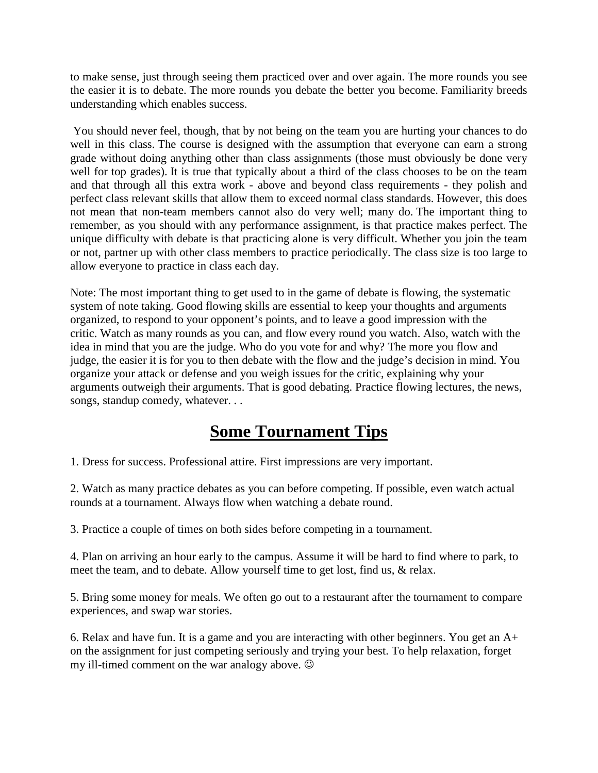to make sense, just through seeing them practiced over and over again. The more rounds you see the easier it is to debate. The more rounds you debate the better you become. Familiarity breeds understanding which enables success.

You should never feel, though, that by not being on the team you are hurting your chances to do well in this class. The course is designed with the assumption that everyone can earn a strong grade without doing anything other than class assignments (those must obviously be done very well for top grades). It is true that typically about a third of the class chooses to be on the team and that through all this extra work - above and beyond class requirements - they polish and perfect class relevant skills that allow them to exceed normal class standards. However, this does not mean that non-team members cannot also do very well; many do. The important thing to remember, as you should with any performance assignment, is that practice makes perfect. The unique difficulty with debate is that practicing alone is very difficult. Whether you join the team or not, partner up with other class members to practice periodically. The class size is too large to allow everyone to practice in class each day.

Note: The most important thing to get used to in the game of debate is flowing, the systematic system of note taking. Good flowing skills are essential to keep your thoughts and arguments organized, to respond to your opponent's points, and to leave a good impression with the critic. Watch as many rounds as you can, and flow every round you watch. Also, watch with the idea in mind that you are the judge. Who do you vote for and why? The more you flow and judge, the easier it is for you to then debate with the flow and the judge's decision in mind. You organize your attack or defense and you weigh issues for the critic, explaining why your arguments outweigh their arguments. That is good debating. Practice flowing lectures, the news, songs, standup comedy, whatever. . .

# **Some Tournament Tips**

1. Dress for success. Professional attire. First impressions are very important.

2. Watch as many practice debates as you can before competing. If possible, even watch actual rounds at a tournament. Always flow when watching a debate round.

3. Practice a couple of times on both sides before competing in a tournament.

4. Plan on arriving an hour early to the campus. Assume it will be hard to find where to park, to meet the team, and to debate. Allow yourself time to get lost, find us, & relax.

5. Bring some money for meals. We often go out to a restaurant after the tournament to compare experiences, and swap war stories.

6. Relax and have fun. It is a game and you are interacting with other beginners. You get an A+ on the assignment for just competing seriously and trying your best. To help relaxation, forget my ill-timed comment on the war analogy above.  $\odot$